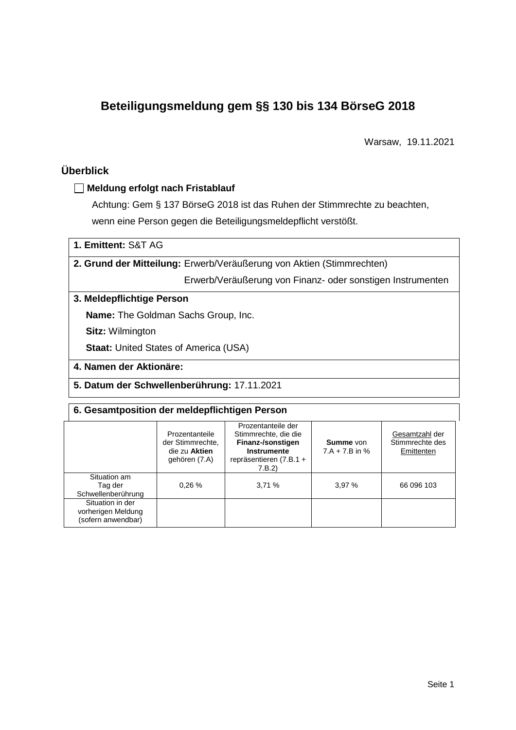# **Beteiligungsmeldung gem §§ 130 bis 134 BörseG 2018**

Warsaw, 19.11.2021

## **Überblick**

## **Meldung erfolgt nach Fristablauf**

Achtung: Gem § 137 BörseG 2018 ist das Ruhen der Stimmrechte zu beachten, wenn eine Person gegen die Beteiligungsmeldepflicht verstößt.

| 1. Emittent: S&T AG |  |
|---------------------|--|
|---------------------|--|

**2. Grund der Mitteilung:** Erwerb/Veräußerung von Aktien (Stimmrechten)

Erwerb/Veräußerung von Finanz- oder sonstigen Instrumenten

#### **3. Meldepflichtige Person**

**Name:** The Goldman Sachs Group, Inc.

**Sitz:** Wilmington

**Staat: United States of America (USA)** 

#### **4. Namen der Aktionäre:**

**5. Datum der Schwellenberührung:** 17.11.2021

#### **6. Gesamtposition der meldepflichtigen Person**

|                                                              | Prozentanteile<br>der Stimmrechte.<br>die zu Aktien<br>gehören (7.A) | Prozentanteile der<br>Stimmrechte, die die<br>Finanz-/sonstigen<br><b>Instrumente</b><br>repräsentieren $(7.B.1 +$<br>7.B.2) | <b>Summe</b> von<br>$7.A + 7.B$ in % | Gesamtzahl der<br>Stimmrechte des<br>Emittenten |
|--------------------------------------------------------------|----------------------------------------------------------------------|------------------------------------------------------------------------------------------------------------------------------|--------------------------------------|-------------------------------------------------|
| Situation am<br>Tag der<br>Schwellenberührung                | 0.26%                                                                | 3,71%                                                                                                                        | 3.97%                                | 66 096 103                                      |
| Situation in der<br>vorherigen Meldung<br>(sofern anwendbar) |                                                                      |                                                                                                                              |                                      |                                                 |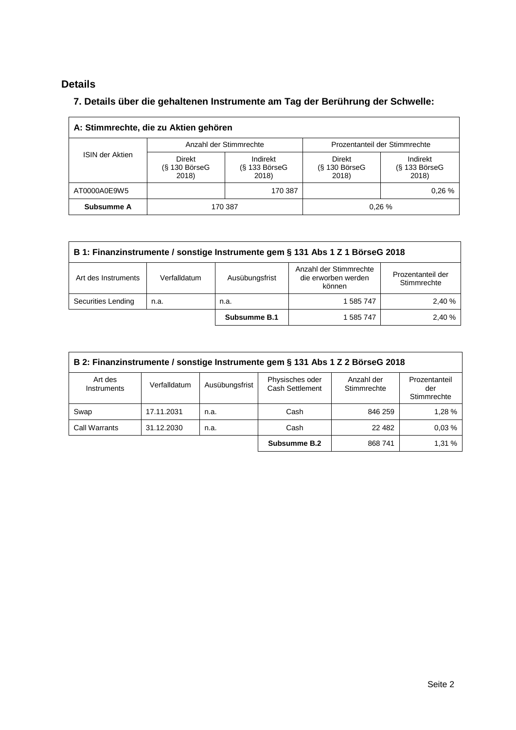# **Details**

## **7. Details über die gehaltenen Instrumente am Tag der Berührung der Schwelle:**

| A: Stimmrechte, die zu Aktien gehören |                                    |                                                         |                                           |                                      |  |  |
|---------------------------------------|------------------------------------|---------------------------------------------------------|-------------------------------------------|--------------------------------------|--|--|
|                                       |                                    | Anzahl der Stimmrechte<br>Prozentanteil der Stimmrechte |                                           |                                      |  |  |
| <b>ISIN der Aktien</b>                | Direkt<br>$(S$ 130 BörseG<br>2018) | Indirekt<br>$(S$ 133 BörseG<br>2018)                    | <b>Direkt</b><br>$(S$ 130 BörseG<br>2018) | Indirekt<br>$(S$ 133 BörseG<br>2018) |  |  |
| AT0000A0E9W5                          |                                    | 170 387                                                 |                                           | 0.26%                                |  |  |
| Subsumme A                            | 0.26%<br>170 387                   |                                                         |                                           |                                      |  |  |

| B 1: Finanzinstrumente / sonstige Instrumente gem § 131 Abs 1 Z 1 BörseG 2018 |                                                                                                                               |              |           |        |  |
|-------------------------------------------------------------------------------|-------------------------------------------------------------------------------------------------------------------------------|--------------|-----------|--------|--|
| Art des Instruments                                                           | Anzahl der Stimmrechte<br>Prozentanteil der<br>die erworben werden<br>Ausübungsfrist<br>Verfalldatum<br>Stimmrechte<br>können |              |           |        |  |
| Securities Lending                                                            | n.a.                                                                                                                          | n.a.         | 1 585 747 | 2.40 % |  |
|                                                                               |                                                                                                                               | Subsumme B.1 | 1 585 747 | 2.40 % |  |

| B 2: Finanzinstrumente / sonstige Instrumente gem § 131 Abs 1 Z 2 BörseG 2018                                                                                      |            |      |              |          |        |  |  |
|--------------------------------------------------------------------------------------------------------------------------------------------------------------------|------------|------|--------------|----------|--------|--|--|
| Physisches oder<br>Art des<br>Anzahl der<br>Prozentanteil<br>Ausübungsfrist<br>Verfalldatum<br>Cash Settlement<br>Stimmrechte<br>Instruments<br>der<br>Stimmrechte |            |      |              |          |        |  |  |
| Swap                                                                                                                                                               | 17.11.2031 | n.a. | Cash         | 846 259  | 1,28 % |  |  |
| Call Warrants                                                                                                                                                      | 31.12.2030 | n.a. | Cash         | 22 4 8 2 | 0.03%  |  |  |
|                                                                                                                                                                    |            |      | Subsumme B.2 | 868 741  | 1,31 % |  |  |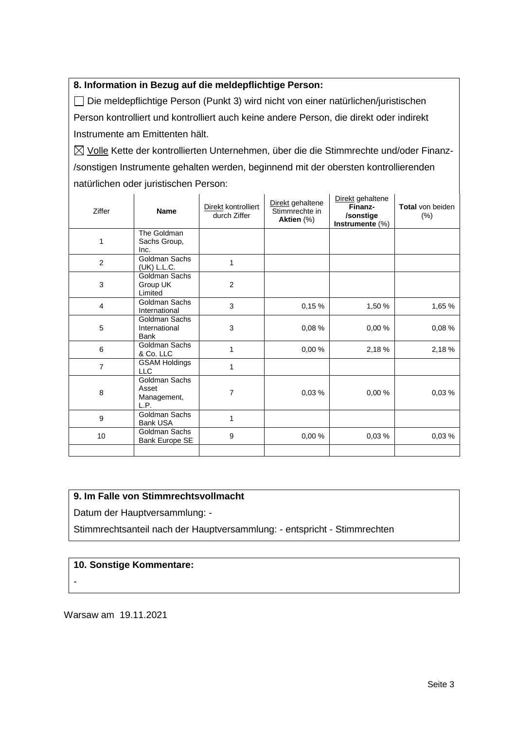### **8. Information in Bezug auf die meldepflichtige Person:**

Die meldepflichtige Person (Punkt 3) wird nicht von einer natürlichen/juristischen Person kontrolliert und kontrolliert auch keine andere Person, die direkt oder indirekt Instrumente am Emittenten hält.

 $\boxtimes$  Volle Kette der kontrollierten Unternehmen, über die die Stimmrechte und/oder Finanz-/sonstigen Instrumente gehalten werden, beginnend mit der obersten kontrollierenden natürlichen oder juristischen Person:

| Ziffer         | <b>Name</b>                                   | Direkt kontrolliert<br>durch Ziffer | Direkt gehaltene<br>Stimmrechte in<br>Aktien (%) | Direkt gehaltene<br>Finanz-<br>/sonstige<br>Instrumente $(\%)$ | Total von beiden<br>$(\%)$ |
|----------------|-----------------------------------------------|-------------------------------------|--------------------------------------------------|----------------------------------------------------------------|----------------------------|
| 1              | The Goldman<br>Sachs Group,<br>Inc.           |                                     |                                                  |                                                                |                            |
| 2              | Goldman Sachs<br>(UK) L.L.C.                  | 1                                   |                                                  |                                                                |                            |
| 3              | Goldman Sachs<br>Group UK<br>Limited          | $\overline{c}$                      |                                                  |                                                                |                            |
| $\overline{4}$ | Goldman Sachs<br>International                | 3                                   | 0,15%                                            | 1,50 %                                                         | 1,65 %                     |
| 5              | Goldman Sachs<br>International<br><b>Bank</b> | 3                                   | 0,08%                                            | 0,00 %                                                         | 0,08%                      |
| 6              | Goldman Sachs<br>& Co. LLC                    | 1                                   | 0,00%                                            | 2,18%                                                          | 2,18%                      |
| $\overline{7}$ | <b>GSAM Holdings</b><br><b>LLC</b>            | 1                                   |                                                  |                                                                |                            |
| 8              | Goldman Sachs<br>Asset<br>Management,<br>L.P. | 7                                   | 0,03%                                            | 0,00%                                                          | 0,03%                      |
| 9              | Goldman Sachs<br><b>Bank USA</b>              | 1                                   |                                                  |                                                                |                            |
| 10             | Goldman Sachs<br>Bank Europe SE               | 9                                   | 0,00%                                            | 0,03%                                                          | 0,03%                      |
|                |                                               |                                     |                                                  |                                                                |                            |

## **9. Im Falle von Stimmrechtsvollmacht**

Datum der Hauptversammlung: -

Stimmrechtsanteil nach der Hauptversammlung: - entspricht - Stimmrechten

#### **10. Sonstige Kommentare:**

-

Warsaw am 19.11.2021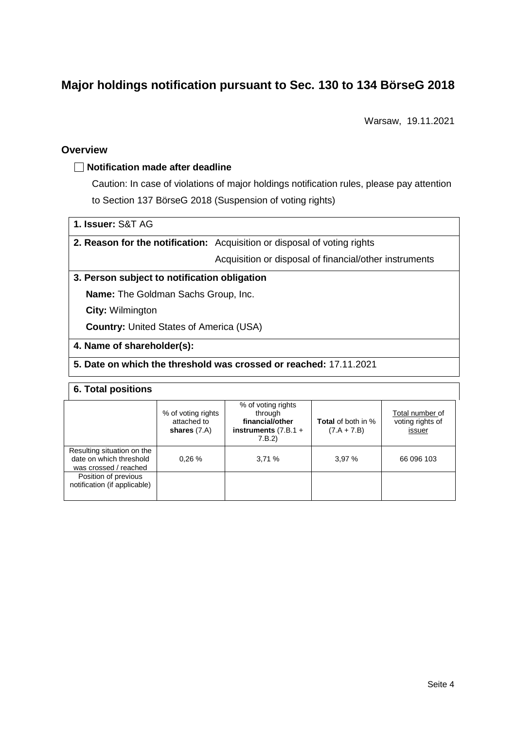# **Major holdings notification pursuant to Sec. 130 to 134 BörseG 2018**

Warsaw, 19.11.2021

#### **Overview**

### **Notification made after deadline**

Caution: In case of violations of major holdings notification rules, please pay attention to Section 137 BörseG 2018 (Suspension of voting rights)

## **1. Issuer:** S&T AG

**2. Reason for the notification:** Acquisition or disposal of voting rights

Acquisition or disposal of financial/other instruments

#### **3. Person subject to notification obligation**

**Name:** The Goldman Sachs Group, Inc.

**City:** Wilmington

**Country:** United States of America (USA)

#### **4. Name of shareholder(s):**

#### **5. Date on which the threshold was crossed or reached:** 17.11.2021

#### **6. Total positions**

|                                                                                | % of voting rights<br>attached to<br>shares $(7.A)$ | % of voting rights<br>through<br>financial/other<br>instruments $(7.B.1 +$<br>7.B.2) | <b>Total</b> of both in %<br>$(7.A + 7.B)$ | Total number of<br>voting rights of<br>issuer |
|--------------------------------------------------------------------------------|-----------------------------------------------------|--------------------------------------------------------------------------------------|--------------------------------------------|-----------------------------------------------|
| Resulting situation on the<br>date on which threshold<br>was crossed / reached | 0.26%                                               | 3,71%                                                                                | 3.97%                                      | 66 096 103                                    |
| Position of previous<br>notification (if applicable)                           |                                                     |                                                                                      |                                            |                                               |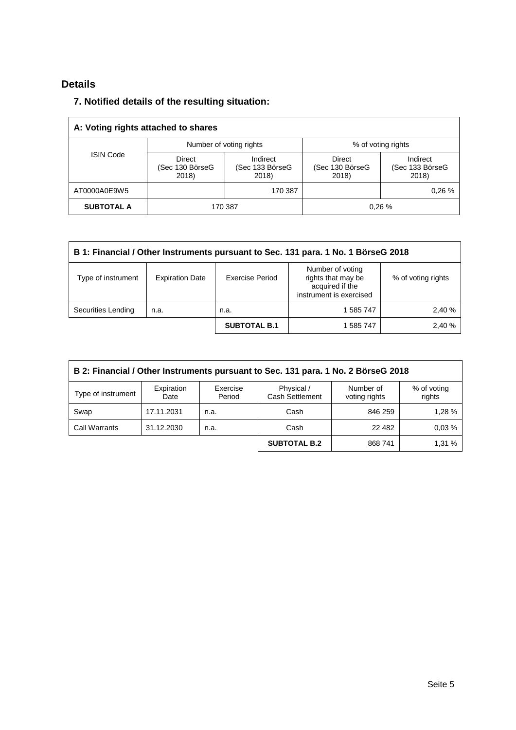# **Details**

## **7. Notified details of the resulting situation:**

| A: Voting rights attached to shares |                                           |                                      |                                    |                                      |  |  |
|-------------------------------------|-------------------------------------------|--------------------------------------|------------------------------------|--------------------------------------|--|--|
|                                     |                                           | Number of voting rights              | % of voting rights                 |                                      |  |  |
| <b>ISIN Code</b>                    | <b>Direct</b><br>(Sec 130 BörseG<br>2018) | Indirect<br>(Sec 133 BörseG<br>2018) | Direct<br>(Sec 130 BörseG<br>2018) | Indirect<br>(Sec 133 BörseG<br>2018) |  |  |
| AT0000A0E9W5                        |                                           | 170 387                              |                                    | 0.26%                                |  |  |
| <b>SUBTOTAL A</b>                   |                                           | 170 387                              |                                    | 0.26%                                |  |  |

| B 1: Financial / Other Instruments pursuant to Sec. 131 para. 1 No. 1 BörseG 2018 |                        |                        |                                                                                      |                    |  |
|-----------------------------------------------------------------------------------|------------------------|------------------------|--------------------------------------------------------------------------------------|--------------------|--|
| Type of instrument                                                                | <b>Expiration Date</b> | <b>Exercise Period</b> | Number of voting<br>rights that may be<br>acquired if the<br>instrument is exercised | % of voting rights |  |
| Securities Lending                                                                | n.a.                   | n.a.                   | 1 585 747                                                                            | 2,40 %             |  |
|                                                                                   |                        | <b>SUBTOTAL B.1</b>    | 1 585 747                                                                            | 2,40 %             |  |

| B 2: Financial / Other Instruments pursuant to Sec. 131 para. 1 No. 2 BörseG 2018                                                                             |            |      |                     |          |        |  |  |
|---------------------------------------------------------------------------------------------------------------------------------------------------------------|------------|------|---------------------|----------|--------|--|--|
| Physical /<br>Expiration<br>Exercise<br>Number of<br>% of voting<br>Type of instrument<br><b>Cash Settlement</b><br>rights<br>Period<br>voting rights<br>Date |            |      |                     |          |        |  |  |
| Swap                                                                                                                                                          | 17.11.2031 | n.a. | Cash                | 846 259  | 1,28 % |  |  |
| <b>Call Warrants</b>                                                                                                                                          | 31.12.2030 | n.a. | Cash                | 22 4 8 2 | 0.03%  |  |  |
|                                                                                                                                                               |            |      | <b>SUBTOTAL B.2</b> | 868 741  | 1,31 % |  |  |